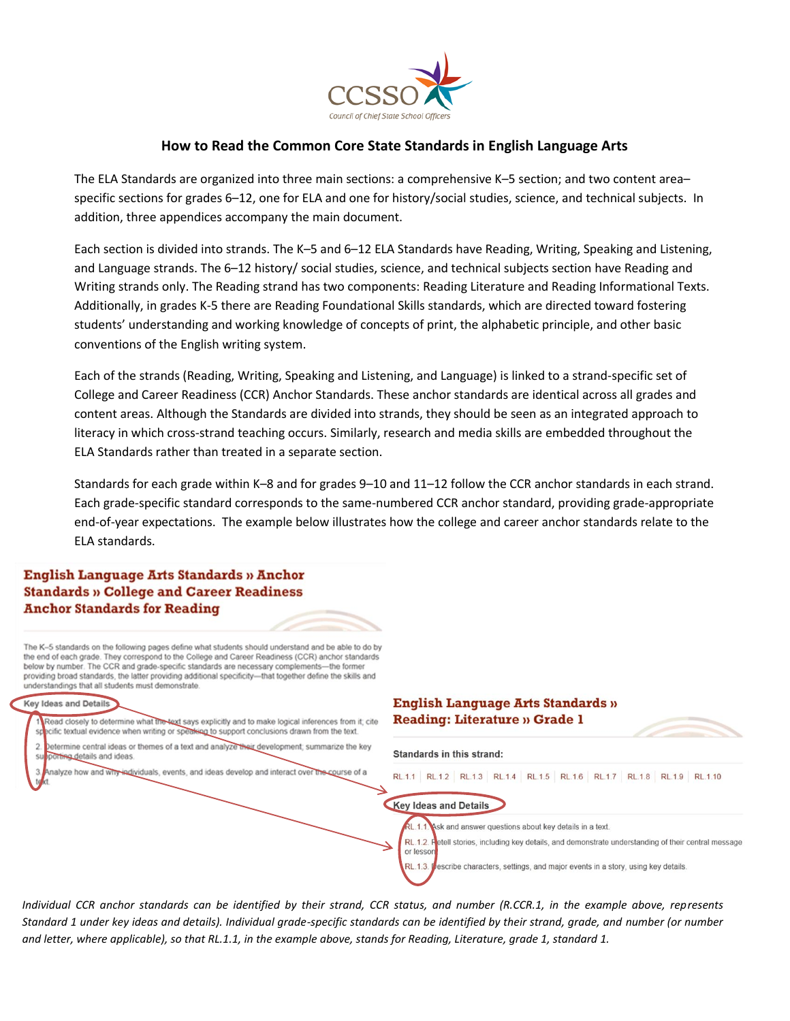

# **How to Read the Common Core State Standards in English Language Arts**

The ELA Standards are organized into three main sections: a comprehensive K–5 section; and two content area– specific sections for grades 6–12, one for ELA and one for history/social studies, science, and technical subjects. In addition, three appendices accompany the main document.

Each section is divided into strands. The K–5 and 6–12 ELA Standards have Reading, Writing, Speaking and Listening, and Language strands. The 6–12 history/ social studies, science, and technical subjects section have Reading and Writing strands only. The Reading strand has two components: Reading Literature and Reading Informational Texts. Additionally, in grades K-5 there are Reading Foundational Skills standards, which are directed toward fostering students' understanding and working knowledge of concepts of print, the alphabetic principle, and other basic conventions of the English writing system.

Each of the strands (Reading, Writing, Speaking and Listening, and Language) is linked to a strand-specific set of College and Career Readiness (CCR) Anchor Standards. These anchor standards are identical across all grades and content areas. Although the Standards are divided into strands, they should be seen as an integrated approach to literacy in which cross-strand teaching occurs. Similarly, research and media skills are embedded throughout the ELA Standards rather than treated in a separate section.

Standards for each grade within K–8 and for grades 9–10 and 11–12 follow the CCR anchor standards in each strand. Each grade-specific standard corresponds to the same-numbered CCR anchor standard, providing grade-appropriate end-of-year expectations. The example below illustrates how the college and career anchor standards relate to the ELA standards.

#### **English Language Arts Standards » Anchor Standards » College and Career Readiness Anchor Standards for Reading**

The K-5 standards on the following pages define what students should understand and be able to do by the end of each grade. They correspond to the College and Career Readiness (CCR) anchor standards below by number. The CCR and grade-specific standards are necessary complements-the former providing broad standards, the latter providing additional specificity-that together define the skills and understandings that all students must demonstrate.

#### **Key Ideas and Details**

Read closely to determine what the text says explicitly and to make logical inferences from it; cite cific textual evidence when writing or speaking to support conclusions drawn from the text. etermine central ideas or themes of a text and analyze their development; summarize the key

- porting details and ideas.
- alyze how and why individuals, events, and ideas develop and interact over the course of a

#### **English Language Arts Standards » Reading: Literature » Grade 1**



RL.1.3. escribe characters, settings, and major events in a story, using key details.

*Individual CCR anchor standards can be identified by their strand, CCR status, and number (R.CCR.1, in the example above, represents Standard 1 under key ideas and details). Individual grade-specific standards can be identified by their strand, grade, and number (or number and letter, where applicable), so that RL.1.1, in the example above, stands for Reading, Literature, grade 1, standard 1.*